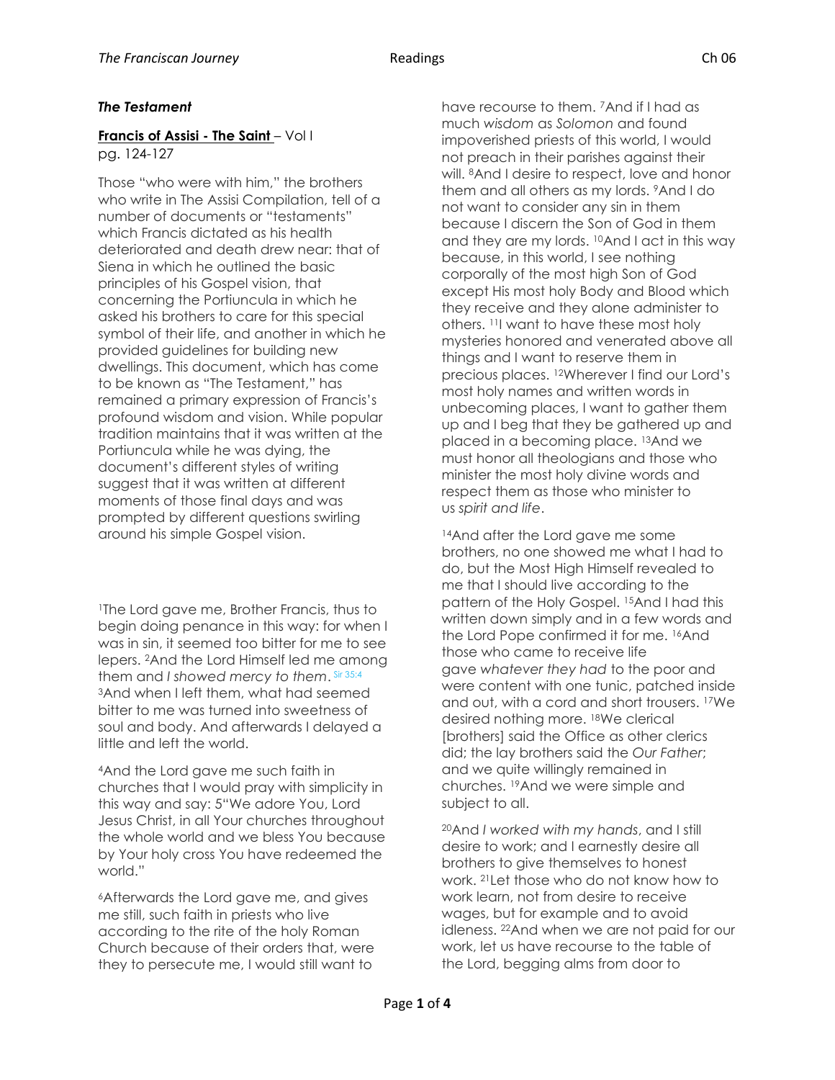### *The Testament*

### **Francis of Assisi - The Saint** – Vol I pg. 124-127

Those "who were with him," the brothers who write in The Assisi Compilation, tell of a number of documents or "testaments" which Francis dictated as his health deteriorated and death drew near: that of Siena in which he outlined the basic principles of his Gospel vision, that concerning the Portiuncula in which he asked his brothers to care for this special symbol of their life, and another in which he provided guidelines for building new dwellings. This document, which has come to be known as "The Testament," has remained a primary expression of Francis's profound wisdom and vision. While popular tradition maintains that it was written at the Portiuncula while he was dying, the document's different styles of writing suggest that it was written at different moments of those final days and was prompted by different questions swirling around his simple Gospel vision.

<sup>1</sup>The Lord gave me, Brother Francis, thus to begin doing penance in this way: for when I was in sin, it seemed too bitter for me to see lepers. <sup>2</sup>And the Lord Himself led me among them and *I showed mercy to them*. Sir 35:4 <sup>3</sup>And when I left them, what had seemed bitter to me was turned into sweetness of soul and body. And afterwards I delayed a little and left the world.

4And the Lord gave me such faith in churches that I would pray with simplicity in this way and say: 5"We adore You, Lord Jesus Christ, in all Your churches throughout the whole world and we bless You because by Your holy cross You have redeemed the world."

<sup>6</sup>Afterwards the Lord gave me, and gives me still, such faith in priests who live according to the rite of the holy Roman Church because of their orders that, were they to persecute me, I would still want to

have recourse to them. <sup>7</sup>And if I had as much *wisdom* as *Solomon* and found impoverished priests of this world, I would not preach in their parishes against their will. <sup>8</sup>And I desire to respect, love and honor them and all others as my lords. <sup>9</sup>And I do not want to consider any sin in them because I discern the Son of God in them and they are my lords. <sup>10</sup>And I act in this way because, in this world, I see nothing corporally of the most high Son of God except His most holy Body and Blood which they receive and they alone administer to others. <sup>11</sup>I want to have these most holy mysteries honored and venerated above all things and I want to reserve them in precious places. <sup>12</sup>Wherever I find our Lord's most holy names and written words in unbecoming places, I want to gather them up and I beg that they be gathered up and placed in a becoming place. <sup>13</sup>And we must honor all theologians and those who minister the most holy divine words and respect them as those who minister to us *spirit and life*.

<sup>14</sup>And after the Lord gave me some brothers, no one showed me what I had to do, but the Most High Himself revealed to me that I should live according to the pattern of the Holy Gospel. <sup>15</sup>And I had this written down simply and in a few words and the Lord Pope confirmed it for me. <sup>16</sup>And those who came to receive life gave *whatever they had* to the poor and were content with one tunic, patched inside and out, with a cord and short trousers. <sup>17</sup>We desired nothing more. <sup>18</sup>We clerical [brothers] said the Office as other clerics did; the lay brothers said the *Our Father*; and we quite willingly remained in churches. <sup>19</sup>And we were simple and subject to all.

<sup>20</sup>And *I worked with my hands*, and I still desire to work; and I earnestly desire all brothers to give themselves to honest work. <sup>21</sup>Let those who do not know how to work learn, not from desire to receive wages, but for example and to avoid idleness. <sup>22</sup>And when we are not paid for our work, let us have recourse to the table of the Lord, begging alms from door to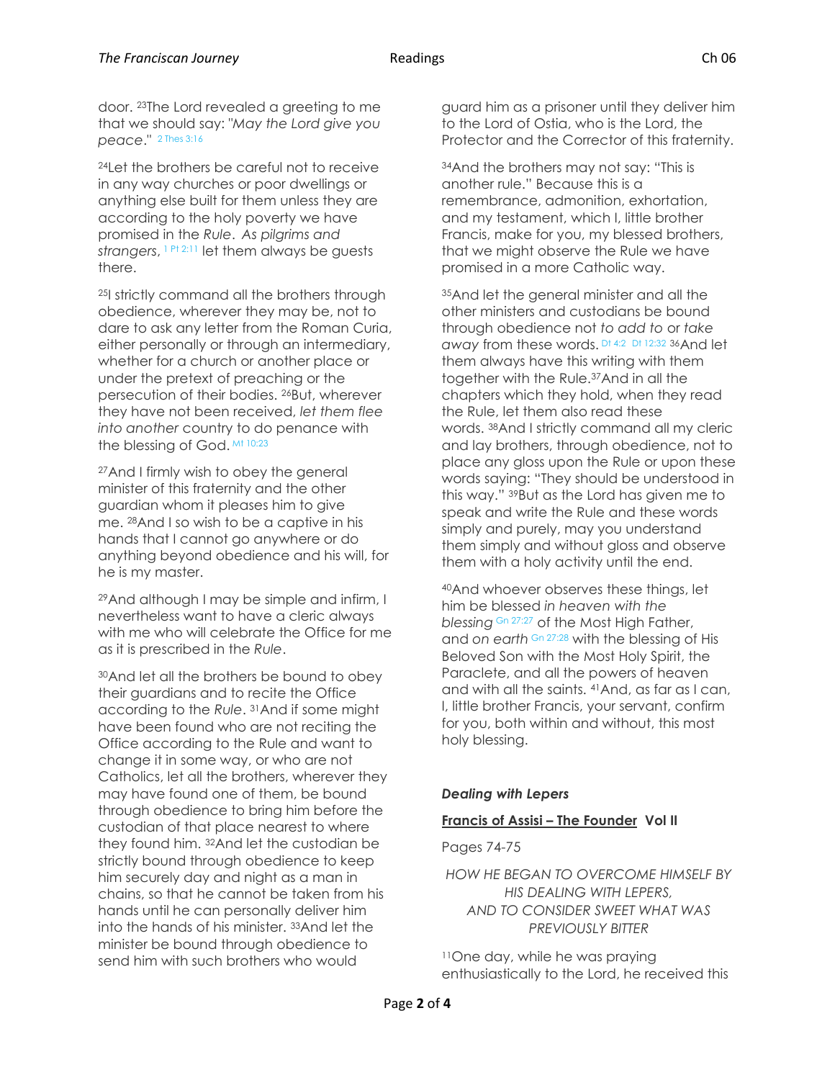door. <sup>23</sup>The Lord revealed a greeting to me that we should say: "*May the Lord give you peace*." 2 Thes 3:16

<sup>24</sup>Let the brothers be careful not to receive in any way churches or poor dwellings or anything else built for them unless they are according to the holy poverty we have promised in the *Rule*. *As pilgrims and strangers*, 1 Pt 2:11 let them always be guests there.

<sup>25</sup>I strictly command all the brothers through obedience, wherever they may be, not to dare to ask any letter from the Roman Curia, either personally or through an intermediary, whether for a church or another place or under the pretext of preaching or the persecution of their bodies. <sup>26</sup>But, wherever they have not been received, *let them flee into another* country to do penance with the blessing of God. Mt 10:23

<sup>27</sup>And I firmly wish to obey the general minister of this fraternity and the other guardian whom it pleases him to give me. <sup>28</sup>And I so wish to be a captive in his hands that I cannot go anywhere or do anything beyond obedience and his will, for he is my master.

<sup>29</sup>And although I may be simple and infirm, I nevertheless want to have a cleric always with me who will celebrate the Office for me as it is prescribed in the *Rule*.

<sup>30</sup>And let all the brothers be bound to obey their guardians and to recite the Office according to the *Rule*. <sup>31</sup>And if some might have been found who are not reciting the Office according to the Rule and want to change it in some way, or who are not Catholics, let all the brothers, wherever they may have found one of them, be bound through obedience to bring him before the custodian of that place nearest to where they found him. <sup>32</sup>And let the custodian be strictly bound through obedience to keep him securely day and night as a man in chains, so that he cannot be taken from his hands until he can personally deliver him into the hands of his minister. <sup>33</sup>And let the minister be bound through obedience to send him with such brothers who would

guard him as a prisoner until they deliver him to the Lord of Ostia, who is the Lord, the Protector and the Corrector of this fraternity.

<sup>34</sup>And the brothers may not say: "This is another rule." Because this is a remembrance, admonition, exhortation, and my testament, which I, little brother Francis, make for you, my blessed brothers, that we might observe the Rule we have promised in a more Catholic way.

<sup>35</sup>And let the general minister and all the other ministers and custodians be bound through obedience not *to add to* or *take away* from these words. Dt 4:2 Dt 12:32 <sup>36</sup>And let them always have this writing with them together with the Rule.37And in all the chapters which they hold, when they read the Rule, let them also read these words. <sup>38</sup>And I strictly command all my cleric and lay brothers, through obedience, not to place any gloss upon the Rule or upon these words saying: "They should be understood in this way." <sup>39</sup>But as the Lord has given me to speak and write the Rule and these words simply and purely, may you understand them simply and without gloss and observe them with a holy activity until the end.

<sup>40</sup>And whoever observes these things, let him be blessed *in heaven with the blessing* Gn 27:27 of the Most High Father, and *on earth* Gn 27:28 with the blessing of His Beloved Son with the Most Holy Spirit, the Paraclete, and all the powers of heaven and with all the saints. <sup>41</sup>And, as far as I can, I, little brother Francis, your servant, confirm for you, both within and without, this most holy blessing.

# *Dealing with Lepers*

# **Francis of Assisi – The Founder Vol II**

Pages 74-75

*HOW HE BEGAN TO OVERCOME HIMSELF BY HIS DEALING WITH LEPERS, AND TO CONSIDER SWEET WHAT WAS PREVIOUSLY BITTER*

<sup>11</sup>One day, while he was praying enthusiastically to the Lord, he received this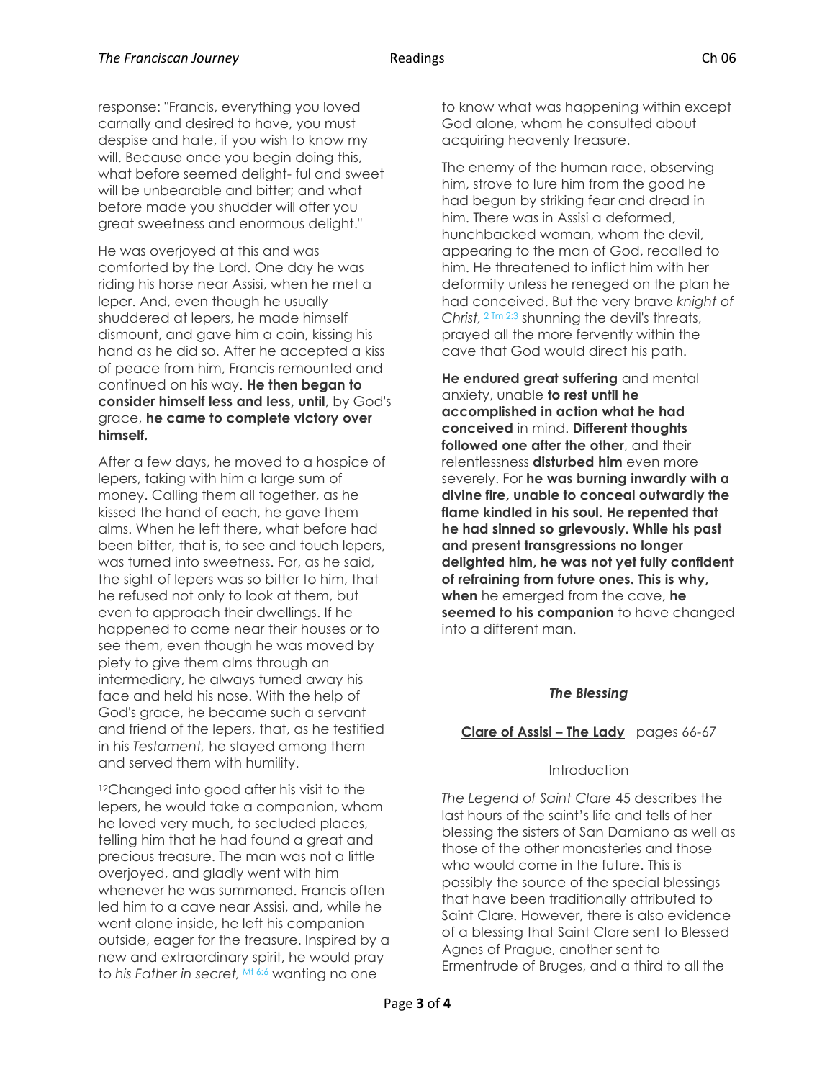response: "Francis, everything you loved carnally and desired to have, you must despise and hate, if you wish to know my will. Because once you begin doing this, what before seemed delight- ful and sweet will be unbearable and bitter; and what before made you shudder will offer you great sweetness and enormous delight."

He was overjoyed at this and was comforted by the Lord. One day he was riding his horse near Assisi, when he met a leper. And, even though he usually shuddered at lepers, he made himself dismount, and gave him a coin, kissing his hand as he did so. After he accepted a kiss of peace from him, Francis remounted and continued on his way. **He then began to consider himself less and less, until**, by God's grace, **he came to complete victory over himself.**

After a few days, he moved to a hospice of lepers, taking with him a large sum of money. Calling them all together, as he kissed the hand of each, he gave them alms. When he left there, what before had been bitter, that is, to see and touch lepers, was turned into sweetness. For, as he said, the sight of lepers was so bitter to him, that he refused not only to look at them, but even to approach their dwellings. If he happened to come near their houses or to see them, even though he was moved by piety to give them alms through an intermediary, he always turned away his face and held his nose. With the help of God's grace, he became such a servant and friend of the lepers, that, as he testified in his *Testament,* he stayed among them and served them with humility.

<sup>12</sup>Changed into good after his visit to the lepers, he would take a companion, whom he loved very much, to secluded places, telling him that he had found a great and precious treasure. The man was not a little overjoyed, and gladly went with him whenever he was summoned. Francis often led him to a cave near Assisi, and, while he went alone inside, he left his companion outside, eager for the treasure. Inspired by a new and extraordinary spirit, he would pray to *his Father in secret,* Mt 6:6 wanting no one

to know what was happening within except God alone, whom he consulted about acquiring heavenly treasure.

The enemy of the human race, observing him, strove to lure him from the good he had begun by striking fear and dread in him. There was in Assisi a deformed, hunchbacked woman, whom the devil, appearing to the man of God, recalled to him. He threatened to inflict him with her deformity unless he reneged on the plan he had conceived. But the very brave *knight of Christ,* 2 Tm 2:3 shunning the devil's threats, prayed all the more fervently within the cave that God would direct his path.

**He endured areat suffering** and mental anxiety, unable **to rest until he accomplished in action what he had conceived** in mind. **Different thoughts followed one after the other**, and their relentlessness **disturbed him** even more severely. For **he was burning inwardly with a divine fire, unable to conceal outwardly the flame kindled in his soul. He repented that he had sinned so grievously. While his past and present transgressions no longer delighted him, he was not yet fully confident of refraining from future ones. This is why, when** he emerged from the cave, **he seemed to his companion** to have changed into a different man.

# *The Blessing*

# **Clare of Assisi - The Lady** pages 66-67

# **Introduction**

*The Legend of Saint Clare* 45 describes the last hours of the saint's life and tells of her blessing the sisters of San Damiano as well as those of the other monasteries and those who would come in the future. This is possibly the source of the special blessings that have been traditionally attributed to Saint Clare. However, there is also evidence of a blessing that Saint Clare sent to Blessed Agnes of Prague, another sent to Ermentrude of Bruges, and a third to all the